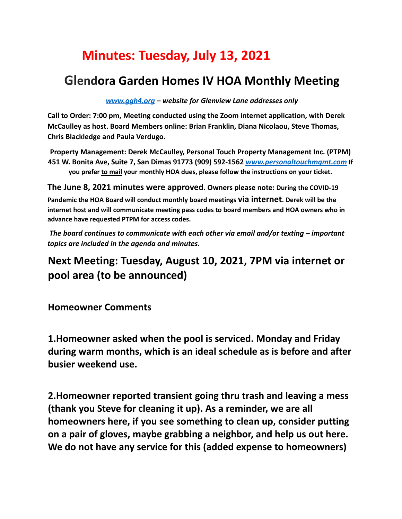## **Minutes: Tuesday, July 13, 2021**

## **Glendora Garden Homes IV HOA Monthly Meeting**

*www.ggh4.org – website for Glenview Lane addresses only*

**Call to Order: 7:00 pm, Meeting conducted using the Zoom internet application, with Derek McCaulley as host. Board Members online: Brian Franklin, Diana Nicolaou, Steve Thomas, Chris Blackledge and Paula Verdugo.**

**Property Management: Derek McCaulley, Personal Touch Property Management Inc. (PTPM) 451 W. Bonita Ave, Suite 7, San Dimas 91773 (909) 592-1562** *www.personaltouchmgmt.com* **If you prefer to mail your monthly HOA dues, please follow the instructions on your ticket.**

**The June 8, 2021 minutes were approved. Owners please note: During the COVID-19**

**Pandemic the HOA Board will conduct monthly board meetings via internet. Derek will be the internet host and will communicate meeting pass codes to board members and HOA owners who in advance have requested PTPM for access codes.**

*The board continues to communicate with each other via email and/or texting – important topics are included in the agenda and minutes.*

## **Next Meeting: Tuesday, August 10, 2021, 7PM via internet or pool area (to be announced)**

**Homeowner Comments**

**1.Homeowner asked when the pool is serviced. Monday and Friday during warm months, which is an ideal schedule as is before and after busier weekend use.**

**2.Homeowner reported transient going thru trash and leaving a mess (thank you Steve for cleaning it up). As a reminder, we are all homeowners here, if you see something to clean up, consider putting on a pair of gloves, maybe grabbing a neighbor, and help us out here. We do not have any service for this (added expense to homeowners)**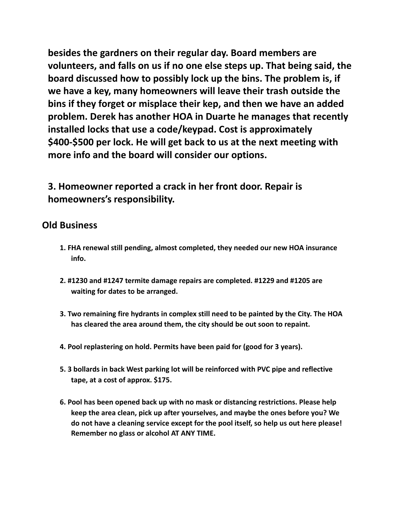**besides the gardners on their regular day. Board members are volunteers, and falls on us if no one else steps up. That being said, the board discussed how to possibly lock up the bins. The problem is, if we have a key, many homeowners will leave their trash outside the bins if they forget or misplace their kep, and then we have an added problem. Derek has another HOA in Duarte he manages that recently installed locks that use a code/keypad. Cost is approximately \$400-\$500 per lock. He will get back to us at the next meeting with more info and the board will consider our options.**

**3. Homeowner reported a crack in her front door. Repair is homeowners's responsibility.**

## **Old Business**

- **1. FHA renewal still pending, almost completed, they needed our new HOA insurance info.**
- **2. #1230 and #1247 termite damage repairs are completed. #1229 and #1205 are waiting for dates to be arranged.**
- **3. Two remaining fire hydrants in complex still need to be painted by the City. The HOA has cleared the area around them, the city should be out soon to repaint.**
- **4. Pool replastering on hold. Permits have been paid for (good for 3 years).**
- **5. 3 bollards in back West parking lot will be reinforced with PVC pipe and reflective tape, at a cost of approx. \$175.**
- **6. Pool has been opened back up with no mask or distancing restrictions. Please help keep the area clean, pick up after yourselves, and maybe the ones before you? We do not have a cleaning service except for the pool itself, so help us out here please! Remember no glass or alcohol AT ANY TIME.**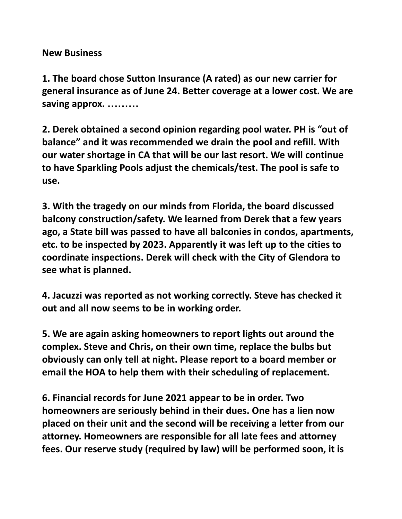**New Business**

**1. The board chose Sutton Insurance (A rated) as our new carrier for general insurance as of June 24. Better coverage at a lower cost. We are saving approx. ………**

**2. Derek obtained a second opinion regarding pool water. PH is "out of balance" and it was recommended we drain the pool and refill. With our water shortage in CA that will be our last resort. We will continue to have Sparkling Pools adjust the chemicals/test. The pool is safe to use.**

**3. With the tragedy on our minds from Florida, the board discussed balcony construction/safety. We learned from Derek that a few years ago, a State bill was passed to have all balconies in condos, apartments, etc. to be inspected by 2023. Apparently it was left up to the cities to coordinate inspections. Derek will check with the City of Glendora to see what is planned.**

**4. Jacuzzi was reported as not working correctly. Steve has checked it out and all now seems to be in working order.**

**5. We are again asking homeowners to report lights out around the complex. Steve and Chris, on their own time, replace the bulbs but obviously can only tell at night. Please report to a board member or email the HOA to help them with their scheduling of replacement.**

**6. Financial records for June 2021 appear to be in order. Two homeowners are seriously behind in their dues. One has a lien now placed on their unit and the second will be receiving a letter from our attorney. Homeowners are responsible for all late fees and attorney fees. Our reserve study (required by law) will be performed soon, it is**